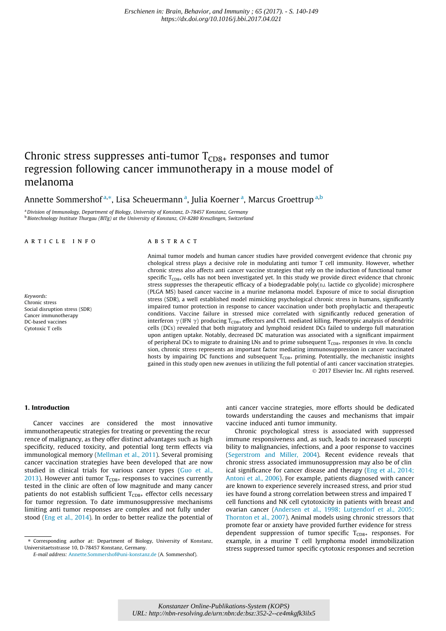# Chronic stress suppresses anti-tumor  $T_{CD8+}$  responses and tumor regression following cancer immunotherapy in a mouse model of melanoma

Annette Sommershof <sup>a,\*</sup>, Lisa Scheuermann <sup>a</sup>, Julia Koerner <sup>a</sup>, Marcus Groettrup <sup>a,b</sup>

a Division of Immunology, Department of Biology, University of Konstanz, D-78457 Konstanz, Germany **b Biotechnology Institute Thurgau (BITg) at the University of Konstanz, CH-8280 Kreuzlingen, Switzerland** 

## article info

#### Keywords: Chronic stress Social disruption stress (SDR) Cancer immunotherapy DC-based vaccines Cytotoxic T cells

## **ABSTRACT**

Animal tumor models and human cancer studies have provided convergent evidence that chronic psy chological stress plays a decisive role in modulating anti tumor T cell immunity. However, whether chronic stress also affects anti cancer vaccine strategies that rely on the induction of functional tumor specific  $T_{CDS+}$  cells has not been investigated yet. In this study we provide direct evidence that chronic stress suppresses the therapeutic efficacy of a biodegradable poly( $p, L$  lactide co glycolide) microsphere (PLGA MS) based cancer vaccine in a murine melanoma model. Exposure of mice to social disruption stress (SDR), a well established model mimicking psychological chronic stress in humans, significantly impaired tumor protection in response to cancer vaccination under both prophylactic and therapeutic conditions. Vaccine failure in stressed mice correlated with significantly reduced generation of interferon  $\gamma$  (IFN  $\gamma$ ) producing T<sub>CD8+</sub> effectors and CTL mediated killing. Phenotypic analysis of dendritic cells (DCs) revealed that both migratory and lymphoid resident DCs failed to undergo full maturation upon antigen uptake. Notably, decreased DC maturation was associated with a significant impairment of peripheral DCs to migrate to draining LNs and to prime subsequent T<sub>CD8+</sub> responses in vivo. In conclu sion, chronic stress represents an important factor mediating immunosuppression in cancer vaccinated hosts by impairing DC functions and subsequent  $T_{CDB+}$  priming. Potentially, the mechanistic insights gained in this study open new avenues in utilizing the full potential of anti cancer vaccination strategies. - 2017 Elsevier Inc. All rights reserved.

## 1. Introduction

Cancer vaccines are considered the most innovative immunotherapeutic strategies for treating or preventing the recur rence of malignancy, as they offer distinct advantages such as high specificity, reduced toxicity, and potential long term effects via immunological memory (Mellman et al., 2011). Several promising cancer vaccination strategies have been developed that are now studied in clinical trials for various cancer types (Guo et al., 2013). However anti tumor  $T_{CD8+}$  responses to vaccines currently tested in the clinic are often of low magnitude and many cancer patients do not establish sufficient  $T_{CD8+}$  effector cells necessary for tumor regression. To date immunosuppressive mechanisms limiting anti tumor responses are complex and not fully under stood (Eng et al., 2014). In order to better realize the potential of anti cancer vaccine strategies, more efforts should be dedicated towards understanding the causes and mechanisms that impair vaccine induced anti tumor immunity.

Chronic psychological stress is associated with suppressed immune responsiveness and, as such, leads to increased suscepti bility to malignancies, infections, and a poor response to vaccines (Segerstrom and Miller, 2004). Recent evidence reveals that chronic stress associated immunosuppression may also be of clin ical significance for cancer disease and therapy (Eng et al., 2014; Antoni et al., 2006). For example, patients diagnosed with cancer are known to experience severely increased stress, and prior stud ies have found a strong correlation between stress and impaired T cell functions and NK cell cytotoxicity in patients with breast and ovarian cancer (Andersen et al., 1998; Lutgendorf et al., 2005; Thornton et al., 2007). Animal models using chronic stressors that promote fear or anxiety have provided further evidence for stress dependent suppression of tumor specific  $T_{CD8+}$  responses. For example, in a murine T cell lymphoma model immobilization stress suppressed tumor specific cytotoxic responses and secretion

<sup>⇑</sup> Corresponding author at: Department of Biology, University of Konstanz, Universitaetsstrasse 10, D-78457 Konstanz, Germany.

E-mail address: Annette.Sommershof@uni-konstanz.de (A. Sommershof).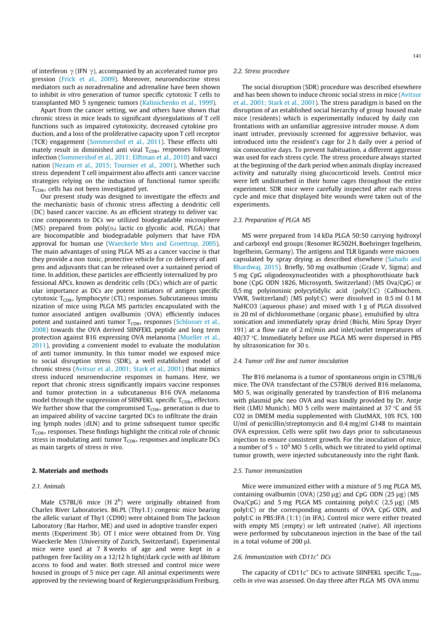of interferon  $\gamma$  (IFN  $\gamma$ ), accompanied by an accelerated tumor pro gression (Frick et al., 2009). Moreover, neuroendocrine stress mediators such as noradrenaline and adrenaline have been shown to inhibit in vitro generation of tumor specific cytotoxic T cells to transplanted MO 5 syngeneic tumors (Kalinichenko et al., 1999).

Apart from the cancer setting, we and others have shown that chronic stress in mice leads to significant dysregulations of T cell functions such as impaired cytotoxicity, decreased cytokine pro duction, and a loss of the proliferative capacity upon T cell receptor (TCR) engagement (Sommershof et al., 2011). These effects ulti mately result in diminished anti viral  $T_{CD8+}$  responses following infection (Sommershof et al., 2011; Elftman et al., 2010) and vacci nation (Nezam et al., 2015; Tournier et al., 2001). Whether such stress dependent T cell impairment also affects anti cancer vaccine strategies relying on the induction of functional tumor specific  $T_{CDS+}$  cells has not been investigated yet.

Our present study was designed to investigate the effects and the mechanistic basis of chronic stress affecting a dendritic cell (DC) based cancer vaccine. As an efficient strategy to deliver vac cine components to DCs we utilized biodegradable microsphere  $(MS)$  prepared from poly $(p,L)$  lactic co glycolic acid, PLGA) that are biocompatible and biodegradable polymers that have FDA approval for human use (Waeckerle Men and Groettrup, 2005). The main advantages of using PLGA MS as a cancer vaccine is that they provide a non toxic, protective vehicle for co delivery of anti gens and adjuvants that can be released over a sustained period of time. In addition, these particles are efficiently internalized by pro fessional APCs, known as dendritic cells (DCs) which are of partic ular importance as DCs are potent initiators of antigen specific cytotoxic  $T_{CD8+}$  lymphocyte (CTL) responses. Subcutaneous immu nization of mice using PLGA MS particles encapsulated with the tumor associated antigen ovalbumin (OVA) efficiently induces potent and sustained anti tumor  $T_{CD8+}$  responses (Schlosser et al., 2008) towards the OVA derived SIINFEKL peptide and long term protection against B16 expressing OVA melanoma (Mueller et al., 2011), providing a convenient model to evaluate the modulation of anti tumor immunity. In this tumor model we exposed mice to social disruption stress (SDR), a well established model of chronic stress (Avitsur et al., 2001; Stark et al., 2001) that mimics stress induced neuroendocrine responses in humans. Here, we report that chronic stress significantly impairs vaccine responses and tumor protection in a subcutaneous B16 OVA melanoma model through the suppression of SIINFEKL specific  $T_{CD8+}$  effectors. We further show that the compromised  $T_{CD8+}$  generation is due to an impaired ability of vaccine targeted DCs to infiltrate the drain ing lymph nodes (dLN) and to prime subsequent tumor specific  $T<sub>CDB+</sub>$  responses. These findings highlight the critical role of chronic stress in modulating anti tumor  $T_{CD8+}$  responses and implicate DCs as main targets of stress in vivo.

## 2. Materials and methods

## 2.1. Animals

Male  $C57BL/6$  mice  $(H 2<sup>b</sup>)$  were originally obtained from Charles River Laboratories. B6.PL (Thy1.1) congenic mice bearing the allelic variant of Thy1 (CD90) were obtained from The Jackson Laboratory (Bar Harbor, ME) and used in adoptive transfer experi ments (Experiment 3b). OT I mice were obtained from Dr. Ying Waeckerle Men (University of Zurich, Switzerland). Experimental mice were used at 7 8 weeks of age and were kept in a pathogen free facility on a 12/12 h light/dark cycle with ad libitum access to food and water. Both stressed and control mice were housed in groups of 5 mice per cage. All animal experiments were approved by the reviewing board of Regierungspräsidium Freiburg.

# 2.2. Stress procedure

The social disruption (SDR) procedure was described elsewhere and has been shown to induce chronic social stress in mice (Avitsur et al., 2001; Stark et al., 2001). The stress paradigm is based on the disruption of an established social hierarchy of group housed male mice (residents) which is experimentally induced by daily con frontations with an unfamiliar aggressive intruder mouse. A dom inant intruder, previously screened for aggressive behavior, was introduced into the resident's cage for 2 h daily over a period of six consecutive days. To prevent habituation, a different aggressor was used for each stress cycle. The stress procedure always started at the beginning of the dark period when animals display increased activity and naturally rising glucocorticoid levels. Control mice were left undisturbed in their home cages throughout the entire experiment. SDR mice were carefully inspected after each stress cycle and mice that displayed bite wounds were taken out of the experiments.

#### 2.3. Preparation of PLGA MS

MS were prepared from 14 kDa PLGA 50:50 carrying hydroxyl and carboxyl end groups (Resomer RG502H, Boehringer Ingelheim, Ingelheim, Germany). The antigens and TLR ligands were microen capsulated by spray drying as described elsewhere (Sabado and Bhardwaj, 2015). Briefly, 50 mg ovalbumin (Grade V, Sigma) and 5 mg CpG oligodeoxynucleotides with a phosphorothioate back bone (CpG ODN 1826, Microsynth, Switzerland) (MS Ova/CpG) or 0,5 mg polyinosinic polycytidylic acid (poly(I:C) (Calbiochem, VWR, Switzerland) (MS polyI:C) were dissolved in 0.5 ml 0.1 M NaHCO3 (aqueous phase) and mixed with 1 g of PLGA dissolved in 20 ml of dichloromethane (organic phase), emulsified by ultra sonication and immediately spray dried (Büchi, Mini Spray Dryer 191) at a flow rate of 2 ml/min and inlet/outlet temperatures of 40/37  $\degree$ C. Immediately before use PLGA MS were dispersed in PBS by ultrasonication for 30 s.

#### 2.4. Tumor cell line and tumor inoculation

The B16 melanoma is a tumor of spontaneous origin in C57BL/6 mice. The OVA transfectant of the C57Bl/6 derived B16 melanoma, MO 5, was originally generated by transfection of B16 melanoma with plasmid pAc neo OVA and was kindly provided by Dr. Antje Heit (LMU Munich). MO 5 cells were maintained at 37  $\degree$ C and 5% CO2 in DMEM media supplemented with GlutMAX, 10% FCS, 100 U/ml of penicillin/streptomycin and 0.4 mg/ml G148 to maintain OVA expression. Cells were split two days prior to subcutaneous injection to ensure consistent growth. For the inoculation of mice, a number of 5  $\times$  10<sup>5</sup> MO 5 cells, which we titrated to yield optimal tumor growth, were injected subcutaneously into the right flank.

## 2.5. Tumor immunization

Mice were immunized either with a mixture of 5 mg PLGA MS, containing ovalbumin (OVA) (250  $\mu$ g) and CpG ODN (25  $\mu$ g) (MS Ova/CpG) and 5 mg PLGA MS containing polyI:C  $(2.5 \mu g)$  (MS polyI:C) or the corresponding amounts of OVA, CpG ODN, and polyI:C in PBS:IFA (1:1) (in IFA). Control mice were either treated with empty MS (empty) or left untreated (naïve). All injections were performed by subcutaneous injection in the base of the tail in a total volume of  $200 \mu l$ .

#### 2.6. Immunization with  $CD11c^+$  DCs

The capacity of CD11c<sup>+</sup> DCs to activate SIINFEKL specific  $T_{CD8+}$ cells in vivo was assessed. On day three after PLGA MS OVA immu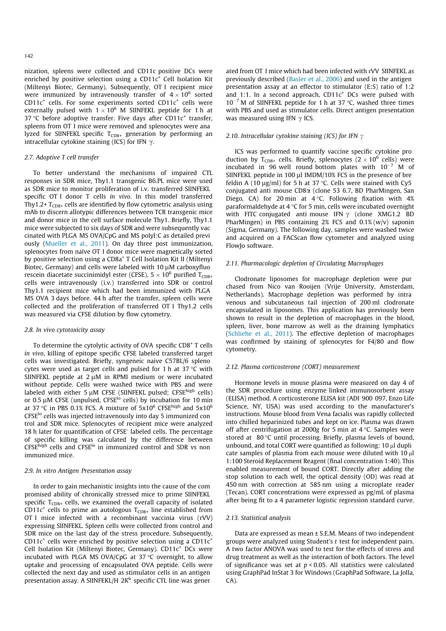nization, spleens were collected and CD11c positive DCs were enriched by positive selection using a  $CD11c<sup>+</sup>$  Cell Isolation Kit (Miltenyi Biotec, Germany). Subsequently, OT I recipient mice were immunized by intravenously transfer of  $4 \times 10^6$  sorted  $CD11c<sup>+</sup>$  cells. For some experiments sorted CD11 $c<sup>+</sup>$  cells were externally pulsed with  $1 \times 10^6$  M SIINFEKL peptide for 1 h at 37 °C before adoptive transfer. Five days after  $CD11c^{+}$  transfer, spleens from OT I mice were removed and splenocytes were ana lyzed for SIINFEKL specific  $T_{CD8+}$  generation by performing an intracellular cytokine staining (ICS) for IFN  $\gamma$ .

#### 2.7. Adoptive T cell transfer

To better understand the mechanisms of impaired CTL responses in SDR mice, Thy1.1 transgenic B6.PL mice were used as SDR mice to monitor proliferation of i.v. transferred SIINFEKL specific OT I donor T cells in vivo. In this model transferred Thy1.2+  $T_{CD8+}$  cells are identified by flow cytometric analysis using mAb to discern allotypic differences between TCR transgenic mice and donor mice in the cell surface molecule Thy1. Briefly, Thy1.1 mice were subjected to six days of SDR and were subsequently vac cinated with PLGA MS OVA/CpG and MS polyI:C as detailed previ ously (Mueller et al., 2011). On day three post immunization, splenocytes from naïve OT I donor mice were magnetically sorted by positive selection using a CD8a+ T Cell Isolation Kit II (Miltenyi Biotec, Germany) and cells were labeled with 10  $\mu$ M carboxyfluo rescein diacetate succinimidyl ester (CFSE).  $5\times10^6$  purified T $_{\text{CD8+}}$ cells were intravenously (i.v.) transferred into SDR or control Thy1.1 recipient mice which had been immunized with PLGA MS OVA 3 days before. 44 h after the transfer, spleen cells were collected and the proliferation of transferred OT I Thy1.2 cells was measured via CFSE dilution by flow cytometry.

#### 2.8. In vivo cytotoxicity assay

To determine the cytolytic activity of OVA specific CD8<sup>+</sup> T cells in vivo, killing of epitope specific CFSE labeled transferred target cells was investigated. Briefly, syngeneic naive C57BL/6 spleno cytes were used as target cells and pulsed for 1 h at 37  $\degree$ C with SIINFEKL peptide at  $2 \mu$ M in RPMI medium or were incubated without peptide. Cells were washed twice with PBS and were labeled with either 5  $\mu$ M CFSE (SIINFEKL pulsed; CFSE<sup>high</sup> cells) or 0.5  $\mu$ M CFSE (unpulsed, CFSE<sup>lo</sup> cells) by incubation for 10 min at 37 °C in PBS 0.1% FCS. A mixture of  $5x10^6$  CFSE<sup>high</sup> and  $5x10^6$  $CFSE^{lo}$  cells was injected intravenously into day 5 immunized con trol and SDR mice. Splenocytes of recipient mice were analyzed 18 h later for quantification of CFSE- labeled cells. The percentage of specific killing was calculated by the difference between CFSE<sup>high</sup> cells and CFSE<sup>lo</sup> in immunized control and SDR vs non immunized mice.

# 2.9. In vitro Antigen Presentation assay

In order to gain mechanistic insights into the cause of the com promised ability of chronically stressed mice to prime SIINFEKL specific  $T_{CD8+}$  cells, we examined the overall capacity of isolated CD11c<sup>+</sup> cells to prime an autologous  $T_{CD8+}$  line established from OT I mice infected with a recombinant vaccinia virus (rVV) expressing SIINFEKL. Spleen cells were collected from control and SDR mice on the last day of the stress procedure. Subsequently, CD11 $c^+$  cells were enriched by positive selection using a CD11 $c^+$ Cell Isolation Kit (Miltenyi Biotec, Germany). CD11c<sup>+</sup> DCs were incubated with PLGA MS OVA/CpG at 37 $\degree$ C overnight, to allow uptake and processing of encapsulated OVA peptide. Cells were collected the next day and used as stimulator cells in an antigen presentation assay. A SIINFEKL/H 2K<sup>b</sup> specific CTL line was gener

ated from OT I mice which had been infected with rVV SIINFEKL as previously described (Basler et al., 2006) and used in the antigen presentation assay at an effector to stimulator (E:S) ratio of 1:2 and 1:1. In a second approach,  $CD11c<sup>+</sup> DCs$  were pulsed with  $10^{-7}$  M of SIINFEKL peptide for 1 h at 37 °C, washed three times with PBS and used as stimulator cells. Direct antigen presentation was measured using IFN  $\gamma$  ICS.

## 2.10. Intracellular cytokine staining (ICS) for IFN  $\gamma$

ICS was performed to quantify vaccine specific cytokine pro duction by  $T_{CD8+}$  cells. Briefly, splenocytes  $(2 \times 10^6 \text{ cells})$  were incubated in 96 well round bottom plates with  $10^{-7}$  M of SIINFEKL peptide in 100 µl IMDM/10% FCS in the presence of bre feldin A (10  $\mu$ g/ml) for 5 h at 37 °C. Cells were stained with Cy5 conjugated anti mouse CD8a (clone 53 6.7, BD PharMingen, San Diego, CA) for 20 min at 4 °C. Following fixation with 4% paraformaldehyde at 4  $\degree$ C for 5 min, cells were incubated overnight with FITC conjugated anti-mouse IFN  $\gamma$  (clone XMG1.2 BD PharMingen) in PBS containing 2% FCS and 0.1% (w/v) saponin (Sigma, Germany). The following day, samples were washed twice and acquired on a FACScan flow cytometer and analyzed using FlowJo software.

## 2.11. Pharmacologic depletion of Circulating Macrophages

Clodronate liposomes for macrophage depletion were pur chased from Nico van Rooijen (Vrije University, Amsterdam, Netherlands). Macrophage depletion was performed by intra venous and subcutaneous tail injection of 200 ml clodronate encapsulated in liposomes. This application has previously been shown to result in the depletion of macrophages in the blood, spleen, liver, bone marrow as well as the draining lymphatics (Schliehe et al., 2011). The effective depletion of macrophages was confirmed by staining of splenocytes for F4/80 and flow cytometry.

#### 2.12. Plasma corticosterone (CORT) measurement

Hormone levels in mouse plasma were measured on day 4 of the SDR procedure using enzyme linked immunosorbent assay (ELISA) method. A corticosterone ELISA kit (ADI 900 097, Enzo Life Science, NY, USA) was used according to the manufacturer's instructions. Mouse blood from Vena facialis was rapidly collected into chilled heparinized tubes and kept on ice. Plasma was drawn off after centrifugation at 2000g for 5 min at  $4^{\circ}$ C. Samples were stored at 80 °C until processing. Briefly, plasma levels of bound, unbound, and total CORT were quantified as following:  $10 \mu$ l dupli cate samples of plasma from each mouse were diluted with  $10 \mu l$ 1:100 Steroid Replacement Reagent (final concentration 1:40). This enabled measurement of bound CORT. Directly after adding the stop solution to each well, the optical density (OD) was read at 450 nm with correction at 585 nm using a microplate reader (Tecan). CORT concentrations were expressed as pg/mL of plasma after being fit to a 4 parameter logistic regression standard curve.

#### 2.13. Statistical analysis

Data are expressed as mean ± S.E.M. Means of two independent groups were analyzed using Student's t test for independent pairs. A two factor ANOVA was used to test for the effects of stress and drug treatment as well as the interaction of both factors. The level of significance was set at  $p < 0.05$ . All statistics were calculated using GraphPad InStat 3 for Windows (GraphPad Software, La Jolla,  $(A)$ .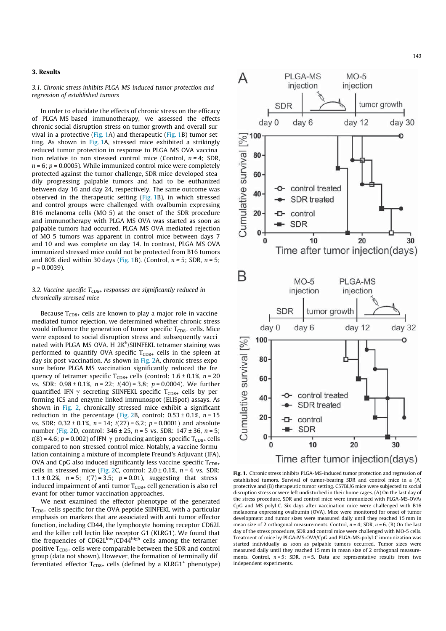## 3. Results

3.1. Chronic stress inhibits PLGA MS induced tumor protection and regression of established tumors

In order to elucidate the effects of chronic stress on the efficacy of PLGA MS based immunotherapy, we assessed the effects chronic social disruption stress on tumor growth and overall sur vival in a protective (Fig. 1A) and therapeutic (Fig. 1B) tumor set ting. As shown in Fig. 1A, stressed mice exhibited a strikingly reduced tumor protection in response to PLGA MS OVA vaccina tion relative to non stressed control mice (Control,  $n = 4$ ; SDR,  $n = 6$ ;  $p = 0.0005$ ). While immunized control mice were completely protected against the tumor challenge, SDR mice developed stea dily progressing palpable tumors and had to be euthanized between day 16 and day 24, respectively. The same outcome was observed in the therapeutic setting (Fig. 1B), in which stressed and control groups were challenged with ovalbumin expressing B16 melanoma cells (MO 5) at the onset of the SDR procedure and immunotherapy with PLGA MS OVA was started as soon as palpable tumors had occurred. PLGA MS OVA mediated rejection of MO 5 tumors was apparent in control mice between days 7 and 10 and was complete on day 14. In contrast, PLGA MS OVA immunized stressed mice could not be protected from B16 tumors and 80% died within 30 days (Fig. 1B). (Control,  $n = 5$ ; SDR,  $n = 5$ ;  $p = 0.0039$ ).

# 3.2. Vaccine specific  $T_{CD8+}$  responses are significantly reduced in chronically stressed mice

Because  $T_{CD8+}$  cells are known to play a major role in vaccine mediated tumor rejection, we determined whether chronic stress would influence the generation of tumor specific  $T_{CD8+}$  cells. Mice were exposed to social disruption stress and subsequently vacci nated with PLGA MS OVA. H 2K<sup>b</sup>/SIINFEKL tetramer staining was performed to quantify OVA specific  $T_{CD8+}$  cells in the spleen at day six post vaccination. As shown in Fig. 2A, chronic stress expo sure before PLGA MS vaccination significantly reduced the fre quency of tetramer specific  $T_{CD8+}$  cells (control: 1.6 ± 0.1%, n = 20 vs. SDR:  $0.98 \pm 0.1\%$ ,  $n = 22$ ;  $t(40) = 3.8$ ;  $p = 0.0004$ ). We further quantified IFN  $\gamma$  secreting SIINFEKL specific T<sub>CD8+</sub> cells by per forming ICS and enzyme linked immunospot (ELISpot) assays. As shown in Fig. 2, chronically stressed mice exhibit a significant reduction in the percentage (Fig. 2B, control:  $0.53 \pm 0.1\%$ ,  $n = 15$ vs. SDR:  $0.32 \pm 0.1\%$ ,  $n = 14$ ;  $t(27) = 6.2$ ;  $p = 0.0001$ ) and absolute number (Fig. 2D, control:  $346 \pm 25$ ,  $n = 5$  vs. SDR:  $147 \pm 36$ ,  $n = 5$ ;  $t(8) = 4.6$ ;  $p = 0.002$ ) of IFN  $\gamma$  producing antigen specific T<sub>CD8+</sub> cells compared to non stressed control mice. Notably, a vaccine formu lation containing a mixture of incomplete Freund's Adjuvant (IFA), OVA and CpG also induced significantly less vaccine specific  $T_{CD8+}$ cells in stressed mice (Fig. 2C, control:  $2.0 \pm 0.1$ %,  $n = 4$  vs. SDR: 1.1 ± 0.2%,  $n = 5$ ;  $t(7) = 3.5$ ;  $p = 0.01$ ), suggesting that stress induced impairment of anti tumor  $T_{CDS+}$  cell generation is also rel evant for other tumor vaccination approaches.

We next examined the effector phenotype of the generated  $T<sub>CDS+</sub>$  cells specific for the OVA peptide SIINFEKL with a particular emphasis on markers that are associated with anti tumor effector function, including CD44, the lymphocyte homing receptor CD62L and the killer cell lectin like receptor G1 (KLRG1). We found that the frequencies of  $CD62L^{low}/CD44^{high}$  cells among the tetramer positive  $T_{CDS+}$  cells were comparable between the SDR and control group (data not shown). However, the formation of terminally dif ferentiated effector  $T_{CD8+}$  cells (defined by a KLRG1<sup>+</sup> phenotype)



Fig. 1. Chronic stress inhibits PLGA-MS-induced tumor protection and regression of established tumors. Survival of tumor-bearing SDR and control mice in a (A) protective and (B) therapeutic tumor setting. C57BL/6 mice were subjected to social disruption stress or were left undisturbed in their home cages. (A) On the last day of the stress procedure, SDR and control mice were immunized with PLGA-MS-OVA/ CpG and MS polyI:C. Six days after vaccination mice were challenged with B16 melanoma expressing ovalbumin (OVA). Mice were monitored for onset of tumor development and tumor sizes were measured daily until they reached 15 mm in mean size of 2 orthogonal measurements. Control,  $n = 4$ ; SDR,  $n = 6$ , (B) On the last day of the stress procedure, SDR and control mice were challenged with MO-5 cells. Treatment of mice by PLGA-MS-OVA/CpG and PLGA-MS-polyI:C immunization was started individually as soon as palpable tumors occurred. Tumor sizes were measured daily until they reached 15 mm in mean size of 2 orthogonal measurements. Control,  $n = 5$ ; SDR,  $n = 5$ . Data are representative results from two independent experiments.

Time after tumor injection(days)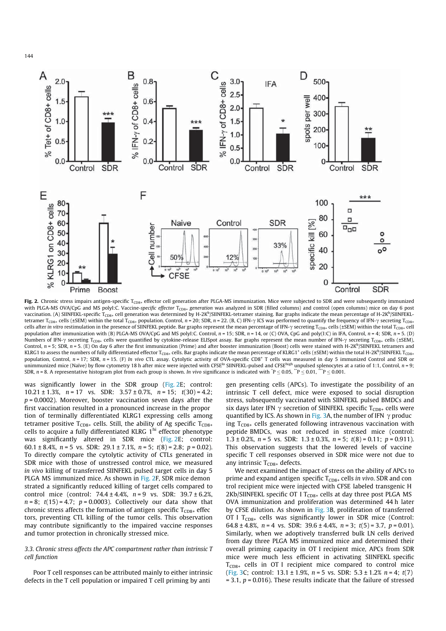

Fig. 2. Chronic stress impairs antigen-specific T<sub>CD8+</sub> effector cell generation after PLGA-MS immunization. Mice were subjected to SDR and were subsequently immunized with PLGA-MS OVA/CpG and MS polyI:C. Vaccine-specific effector T<sub>CD8+</sub> generation was analyzed in SDR (filled columns) and control (open columns) mice on day 6 post vaccination. (A) SIINFEKL-specific T<sub>CD8+</sub> cell generation was determined by H-2K<sup>b</sup>/SIINFEKL-tetramer staining. Bar graphs indicate the mean percentage of H-2K<sup>b</sup>/SIINFEKLtetramer T<sub>CD8+</sub> cells (±SEM) within the total T<sub>CD8+</sub> population. Control, n = 20; SDR, n = 22. (B, C) IFN- $\gamma$  ICS was performed to quantify the frequency of IFN- $\gamma$  secreting T<sub>CD8+</sub> cells after in vitro restimulation in the presence of SIINFEKL peptide. Bar graphs represent the mean percentage of IFN- $\gamma$  secreting T<sub>CD8+</sub> cells (±SEM) within the total T<sub>CD8+</sub> cell population after immunization with (B) PLGA-MS OVA/CpG and MS polyI:C. Control,  $n = 15$ ; SDR,  $n = 14$ , or (C) OVA, CpG and poly(I:C) in IFA, Control,  $n = 4$ ; SDR,  $n = 5$ . (D) Numbers of IFN- $\gamma$  secreting T<sub>CD8+</sub> cells were quantified by cytokine-release ELISpot assay. Bar graphs represent the mean number of IFN- $\gamma$  secreting T<sub>CD8+</sub> cells (±SEM), Control,  $n = 5$ ; SDR,  $n = 5$ . (E) On day 6 after the first immunization (Prime) and after booster immunization (Boost) cells were stained with H-2Kb/SIINFEKL tetramers and KLRG1 to assess the numbers of fully differentiated effector T<sub>CD8+</sub> cells. Bar graphs indicate the mean percentage of KLRG1<sup>+</sup> cells (±SEM) within the total H-2K<sup>b</sup>/SIINFEKL T<sub>CD8+</sub> population, Control, n = 17; SDR, n = 15. (F) In vivo CTL assay. Cytolytic activity of OVA-specific CD8<sup>+</sup> T cells was measured in day 5 immunized Control and SDR or unimmunized mice (Naïve) by flow cytometry 18 h after mice were injected with CFSE<sup>lo</sup> SIINFEKL-pulsed and CFSE<sup>high</sup> unpulsed splenocytes at a ratio of 1:1, Control, n = 9; SDR,  $n$  = 8. A representative histogram plot from each group is shown. In vivo significance is indicated with  $\degree{P} \le 0.05$ ,  $\degree{P} \le 0.01$ ,  $\degree{P} \le 0.001$ .

was significantly lower in the SDR group (Fig. 2E; control: 10.21  $\pm$  1.3%, n = 17 vs. SDR: 3.57  $\pm$  0.7%, n = 15; t(30) = 4.2;  $p = 0.0002$ ). Moreover, booster vaccination seven days after the first vaccination resulted in a pronounced increase in the propor tion of terminally differentiated KLRG1 expressing cells among tetramer positive  $T_{CD8+}$  cells. Still, the ability of Ag specific  $T_{CD8+}$ cells to acquire a fully differentiated KLRG 1<sup>hi</sup> effector phenotype was significantly altered in SDR mice (Fig. 2E; control: 60.1 ± 8.4%,  $n = 5$  vs. SDR: 29.1 ± 7.1%,  $n = 5$ ;  $t(8) = 2.8$ ;  $p = 0.02$ ). To directly compare the cytolytic activity of CTLs generated in SDR mice with those of unstressed control mice, we measured in vivo killing of transferred SIINFEKL pulsed target cells in day 5 PLGA MS immunized mice. As shown in Fig. 2F, SDR mice demon strated a significantly reduced killing of target cells compared to control mice (control:  $74.4 \pm 4.4$ %,  $n = 9$  vs. SDR:  $39.7 \pm 6.2$ %,  $n = 8$ ;  $t(15) = 4.7$ ;  $p = 0.0003$ ). Collectively our data show that chronic stress affects the formation of antigen specific  $T_{CD8+}$  effec tors, preventing CTL killing of the tumor cells. This observation may contribute significantly to the impaired vaccine responses and tumor protection in chronically stressed mice.

# 3.3. Chronic stress affects the APC compartment rather than intrinsic T cell function

Poor T cell responses can be attributed mainly to either intrinsic defects in the T cell population or impaired T cell priming by anti

gen presenting cells (APCs). To investigate the possibility of an intrinsic T cell defect, mice were exposed to social disruption stress, subsequently vaccinated with SIINFEKL pulsed BMDCs and six days later IFN  $\gamma$  secretion of SIINFEKL specific  $T_{CDS+}$  cells were quantified by ICS. As shown in Fig. 3A, the number of IFN  $\gamma$  produc ing  $T_{CD8+}$  cells generated following intravenous vaccination with peptide BMDCs, was not reduced in stressed mice (control: 1.3  $\pm$  0.2%, n = 5 vs. SDR: 1.3  $\pm$  0.3%, n = 5; t(8) = 0.11; p = 0.911). This observation suggests that the lowered levels of vaccine specific T cell responses observed in SDR mice were not due to any intrinsic  $T_{CD8+}$  defects.

We next examined the impact of stress on the ability of APCs to prime and expand antigen specific  $T_{CD8+}$  cells in vivo. SDR and con trol recipient mice were injected with CFSE labeled transgenic H 2Kb/SIINFEKL specific OT I  $T_{CDS+}$  cells at day three post PLGA MS OVA immunization and proliferation was determined 44 h later by CFSE dilution. As shown in Fig. 3B, proliferation of transferred OT I  $T_{CDS+}$  cells was significantly lower in SDR mice (Control: 64.8 ± 4.8%,  $n = 4$  vs. SDR: 39.6 ± 4.4%,  $n = 3$ ;  $t(5) = 3.7$ ,  $p = 0.01$ ). Similarly, when we adoptively transferred bulk LN cells derived from day three PLGA MS immunized mice and determined their overall priming capacity in OT I recipient mice, APCs from SDR mice were much less efficient in activating SIINFEKL specific  $T<sub>CDS+</sub>$  cells in OT I recipient mice compared to control mice (Fig. 3C; control:  $13.1 \pm 1.9$ %,  $n = 5$  vs. SDR:  $5.3 \pm 1.2$ %  $n = 4$ ;  $t(7)$ )  $= 3.1$ ,  $p = 0.016$ ). These results indicate that the failure of stressed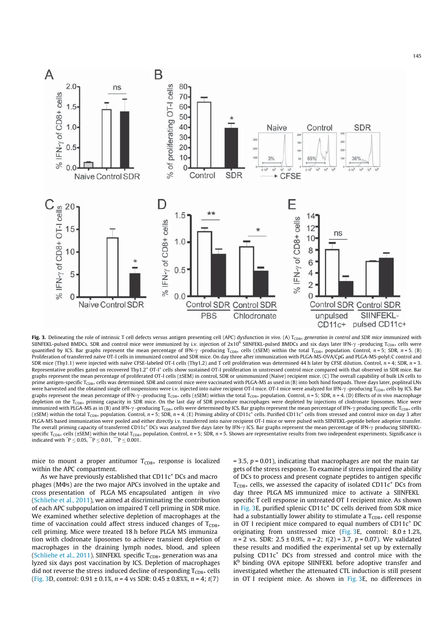

Fig. 3. Delineating the role of intrinsic T cell defects versus antigen presenting cell (APC) dysfunction in vivo. (A) T<sub>CD8+</sub> generation in control and SDR mice immunized with SIINFEKL-pulsed BMDCs. SDR and control mice were immunized by i.v. injection of  $2x10^6$  SIINFEKL-pulsed BMDCs and six days later IFN- $\gamma$ -producing T<sub>CD8+</sub> cells were quantified by ICS. Bar graphs represent the mean percentage of IFN- $\gamma$  -producing T<sub>CD8+</sub> cells (±SEM) within the total T<sub>CD8+</sub> population. Control, n = 5; SDR, n = 5. (B) Proliferation of transferred naïve OT-I cells in immunized control and SDR mice. On day three after immunization with PLGA-MS-OVA/CpG and PLGA-MS-polyI:C control and SDR mice (Thy1.1) were injected with naïve CFSE-labeled OT-I cells (Thy1.2) and T cell proliferation was determined 44 h later by CFSE dilution. Control,  $n = 4$ ; SDR,  $n = 3$ . Representative profiles gated on recovered Thy1.2<sup>+</sup> OT-I<sup>+</sup> cells show sustained OT-I proliferation in unstressed control mice compared with that observed in SDR mice. Bar graphs represent the mean percentage of proliferated OT-I cells (±SEM) in control, SDR or unimmunized (Naive) recipient mice. (C) The overall capability of bulk LN cells to prime antigen-specific T<sub>CD8+</sub> cells was determined. SDR and control mice were vaccinated with PLGA-MS as used in (B) into both hind footpads. Three days later, popliteal LNs were harvested and the obtained single cell suspensions were i.v. injected into naïve recipient OT-I mice. OT-I mice were analyzed for IFN- $\gamma$ -producing T<sub>CD8+</sub> cells by ICS. Bar graphs represent the mean percentage of IFN- $\gamma$ -producing T<sub>CD8+</sub> cells (±SEM) within the total T<sub>CD8+</sub> population. Control, n = 5; SDR, n = 4. (D) Effects of in vivo macrophage depletion on the  $T_{CD8+}$  priming capacity in SDR mice. On the last day of SDR procedure macrophages were depleted by injections of clodronate liposomes. Mice were immunized with PLGA-MS as in (B) and IFN- $\gamma$ -producing T<sub>CD8+</sub> cells were determined by ICS. Bar graphs represent the mean percentage of IFN- $\gamma$  producing specific T<sub>CD8+</sub> cells (±SEM) within the total T<sub>CD8+</sub> population. Control,  $n = 5$ ; SDR,  $n = 4$ . (E) Priming ability of CD11c<sup>+</sup> cells. Purified CD11c<sup>+</sup> cells from stressed and control mice on day 3 after PLGA-MS based immunization were pooled and either directly i.v. transferred into naive recipient OT-I mice or were pulsed with SIINFEKL-peptide before adoptive transfer. The overall priming capacity of transferred CD11c<sup>+</sup> DCs was analyzed five days later by IFN- $\gamma$  ICS. Bar graphs represent the mean percentage of IFN- $\gamma$  producing SIINFEKLspecific T<sub>CD8+</sub> cells (±SEM) within the total T<sub>CD8+</sub> population. Control, n = 5; SDR, n = 5. Shown are representative results from two independent experiments. Significance is indicated with  $P \le 0.05$ ,  $P \le 0.01$ ,  $P \le 0.001$ .

mice to mount a proper antitumor  $T_{CD8+}$  response is localized within the APC compartment.

As we have previously established that  $CD11c<sup>+</sup>DCs$  and macro  $phages (M\Phi s)$  are the two major APCs involved in the uptake and cross presentation of PLGA MS encapsulated antigen in vivo (Schliehe et al., 2011), we aimed at discriminating the contribution of each APC subpopulation on impaired T cell priming in SDR mice. We examined whether selective depletion of macrophages at the time of vaccination could affect stress induced changes of  $T<sub>CDS+</sub>$ cell priming. Mice were treated 18 h before PLGA MS immuniza tion with clodronate liposomes to achieve transient depletion of macrophages in the draining lymph nodes, blood, and spleen (Schliehe et al., 2011). SIINFEKL specific  $T_{CDS+}$  generation was ana lyzed six days post vaccination by ICS. Depletion of macrophages did not reverse the stress induced decline of responding  $T_{CD8+}$  cells (Fig. 3D, control:  $0.91 \pm 0.1\%$ ,  $n = 4$  vs SDR:  $0.45 \pm 0.8\%$ ,  $n = 4$ ;  $t(7)$ 

 $= 3.5$ ,  $p = 0.01$ ), indicating that macrophages are not the main tar gets of the stress response. To examine if stress impaired the ability of DCs to process and present cognate peptides to antigen specific  $T_{CD8+}$  cells, we assessed the capacity of isolated CD11 $c^+$  DCs from day three PLGA MS immunized mice to activate a SIINFEKL specific T cell response in untreated OT I recipient mice. As shown in Fig. 3E, purified splenic  $CD11c<sup>+</sup>$  DC cells derived from SDR mice had a substantially lower ability to stimulate a  $T_{CD8+}$  cell response in OT I recipient mice compared to equal numbers of  $CD11c<sup>+</sup> DC$ originating from unstressed mice (Fig. 3E, control:  $8.0 \pm 1.2\%$ )  $n = 2$  vs. SDR:  $2.5 \pm 0.9$ %,  $n = 2$ ;  $t(2) = 3.7$ ,  $p = 0.07$ ). We validated these results and modified the experimental set up by externally pulsing CD11c<sup>+</sup> DCs from stressed and control mice with the K<sup>b</sup> binding OVA epitope SIINFEKL before adoptive transfer and investigated whether the attenuated CTL induction is still present in OT I recipient mice. As shown in Fig. 3E, no differences in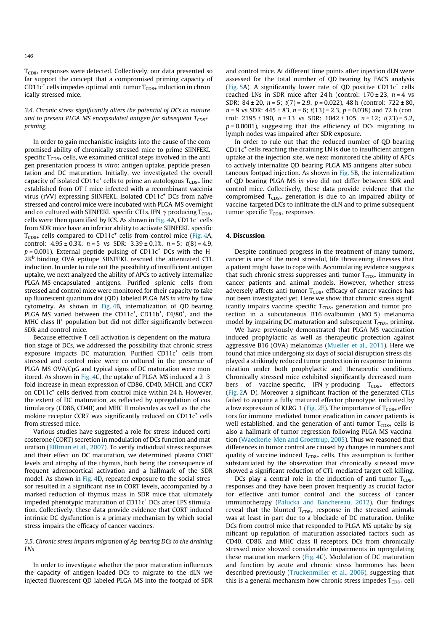$T_{CDS+}$  responses were detected. Collectively, our data presented so far support the concept that a compromised priming capacity of CD11c<sup>+</sup> cells impedes optimal anti tumor  $T_{CD8+}$  induction in chron ically stressed mice.

## 3.4. Chronic stress significantly alters the potential of DCs to mature and to present PLGA MS encapsulated antigen for subsequent  $T_{CD8}$ + priming

In order to gain mechanistic insights into the cause of the com promised ability of chronically stressed mice to prime SIINFEKL specific  $T_{CD8+}$  cells, we examined critical steps involved in the anti gen presentation process in vitro: antigen uptake, peptide presen tation and DC maturation. Initially, we investigated the overall capacity of isolated CD11c<sup>+</sup> cells to prime an autologous  $T_{CDS+}$  line established from OT I mice infected with a recombinant vaccinia virus (rVV) expressing SIINFEKL. Isolated CD11c<sup>+</sup> DCs from naïve stressed and control mice were incubated with PLGA MS overnight and co cultured with SIINFEKL specific CTLs. IFN  $\gamma$  producing T<sub>CD8+</sub> cells were then quantified by ICS. As shown in Fig. 4A,  $CD11c<sup>+</sup>$  cells from SDR mice have an inferior ability to activate SIINFEKL specific  $T_{CD8+}$  cells compared to CD11c<sup>+</sup> cells from control mice (Fig. 4A, control:  $4.95 \pm 0.3$ %,  $n = 5$  vs SDR:  $3.39 \pm 0.1$ %,  $n = 5$ ;  $t(8) = 4.9$ ,  $p = 0.001$ ). External peptide pulsing of CD11 $c<sup>+</sup>$  DCs with the H  $2K<sup>b</sup>$  binding OVA epitope SIINFEKL rescued the attenuated CTL induction. In order to rule out the possibility of insufficient antigen uptake, we next analyzed the ability of APCs to actively internalize PLGA MS encapsulated antigens. Purified splenic cells from stressed and control mice were monitored for their capacity to take up fluorescent quantum dot (QD) labeled PLGA MS in vitro by flow cytometry. As shown in Fig. 4B, internalization of QD bearing PLGA MS varied between the  $CD11c^*$ ,  $CD11b^*$ ,  $F4/80^*$ , and the MHC class II<sup>+</sup> population but did not differ significantly between SDR and control mice.

Because effective T cell activation is dependent on the matura tion stage of DCs, we addressed the possibility that chronic stress exposure impacts DC maturation. Purified  $CD11c<sup>+</sup>$  cells from stressed and control mice were co cultured in the presence of PLGA MS OVA/CpG and typical signs of DC maturation were mon itored. As shown in Fig. 4C, the uptake of PLGA MS induced a 2 3 fold increase in mean expression of CD86, CD40, MHCII, and CCR7 on CD11c<sup>+</sup> cells derived from control mice within 24 h. However, the extent of DC maturation, as reflected by upregulation of cos timulatory (CD86, CD40) and MHC II molecules as well as the che mokine receptor CCR7 was significantly reduced on  $CD11c<sup>+</sup>$  cells from stressed mice.

Various studies have suggested a role for stress induced corti costerone (CORT) secretion in modulation of DCs function and mat uration (Elftman et al., 2007). To verify individual stress responses and their effect on DC maturation, we determined plasma CORT levels and atrophy of the thymus, both being the consequence of frequent adrenocortical activation and a hallmark of the SDR model. As shown in Fig. 4D, repeated exposure to the social stres sor resulted in a significant rise in CORT levels, accompanied by a marked reduction of thymus mass in SDR mice that ultimately impeded phenotypic maturation of  $CD11c<sup>+</sup>DCs$  after LPS stimula tion. Collectively, these data provide evidence that CORT induced intrinsic DC dysfunction is a primary mechanism by which social stress impairs the efficacy of cancer vaccines.

## 3.5. Chronic stress impairs migration of Ag bearing DCs to the draining LNs

In order to investigate whether the poor maturation influences the capacity of antigen loaded DCs to migrate to the dLN we injected fluorescent QD labeled PLGA MS into the footpad of SDR and control mice. At different time points after injection dLN were assessed for the total number of QD bearing by FACS analysis (Fig. 5A). A significantly lower rate of QD positive  $CD11c^+$  cells reached LNs in SDR mice after 24 h (control:  $170 \pm 23$ ,  $n = 4$  vs SDR:  $84 \pm 20$ ,  $n = 5$ ;  $t(7) = 2.9$ ,  $p = 0.022$ ), 48 h (control:  $722 \pm 80$ ,  $n = 9$  vs SDR:  $445 \pm 83$ ,  $n = 6$ ;  $t(13) = 2.3$ ,  $p = 0.038$ ) and 72 h (con trol:  $2195 \pm 190$ ,  $n = 13$  vs SDR:  $1042 \pm 105$ ,  $n = 12$ ;  $t(23) = 5.2$ ,  $p = 0.0001$ ), suggesting that the efficiency of DCs migrating to lymph nodes was impaired after SDR exposure.

In order to rule out that the reduced number of QD bearing  $CD11c<sup>+</sup>$  cells reaching the draining LN is due to insufficient antigen uptake at the injection site, we next monitored the ability of APCs to actively internalize QD bearing PLGA MS antigens after subcu taneous footpad injection. As shown in Fig. 5B, the internalization of QD bearing PLGA MS in vivo did not differ between SDR and control mice. Collectively, these data provide evidence that the compromised  $T_{CD8+}$  generation is due to an impaired ability of vaccine targeted DCs to infiltrate the dLN and to prime subsequent tumor specific  $T_{CD8+}$  responses.

# 4. Discussion

Despite continued progress in the treatment of many tumors, cancer is one of the most stressful, life threatening illnesses that a patient might have to cope with. Accumulating evidence suggests that such chronic stress suppresses anti tumor  $T_{CD8+}$  immunity in cancer patients and animal models. However, whether stress adversely affects anti tumor  $T_{CD8+}$  efficacy of cancer vaccines has not been investigated yet. Here we show that chronic stress signif icantly impairs vaccine specific  $T_{CD8+}$  generation and tumor pro tection in a subcutaneous B16 ovalbumin (MO 5) melanoma model by impairing DC maturation and subsequent  $T_{CD8+}$  priming.

We have previously demonstrated that PLGA MS vaccination induced prophylactic as well as therapeutic protection against aggressive B16 (OVA) melanomas (Mueller et al., 2011). Here we found that mice undergoing six days of social disruption stress dis played a strikingly reduced tumor protection in response to immu nization under both prophylactic and therapeutic conditions. Chronically stressed mice exhibited significantly decreased num bers of vaccine specific, IFN  $\gamma$  producing  $T_{CD8+}$  effectors (Fig. 2A D). Moreover a significant fraction of the generated CTLs failed to acquire a fully matured effector phenotype, indicated by a low expression of KLRG 1 (Fig. 2E). The importance of  $T_{CD8+}$  effec tors for immune mediated tumor eradication in cancer patients is well established, and the generation of anti tumor  $T_{CD8+}$  cells is also a hallmark of tumor regression following PLGA MS vaccina tion (Waeckerle Men and Groettrup, 2005). Thus we reasoned that differences in tumor control are caused by changes in numbers and quality of vaccine induced  $T_{CD8+}$  cells. This assumption is further substantiated by the observation that chronically stressed mice showed a significant reduction of CTL mediated target cell killing.

DCs play a central role in the induction of anti tumor  $T_{CD8+}$ responses and they have been proven frequently as crucial factor for effective anti tumor control and the success of cancer immunotherapy (Palucka and Banchereau, 2012). Our findings reveal that the blunted  $T_{CD8+}$  response in the stressed animals was at least in part due to a blockade of DC maturation. Unlike DCs from control mice that responded to PLGA MS uptake by sig nificant up regulation of maturation associated factors such as CD40, CD86, and MHC class II receptors, DCs from chronically stressed mice showed considerable impairments in upregulating these maturation markers (Fig. 4C). Modulation of DC maturation and function by acute and chronic stress hormones has been described previously (Truckenmiller et al., 2006), suggesting that this is a general mechanism how chronic stress impedes  $T_{CD8+}$  cell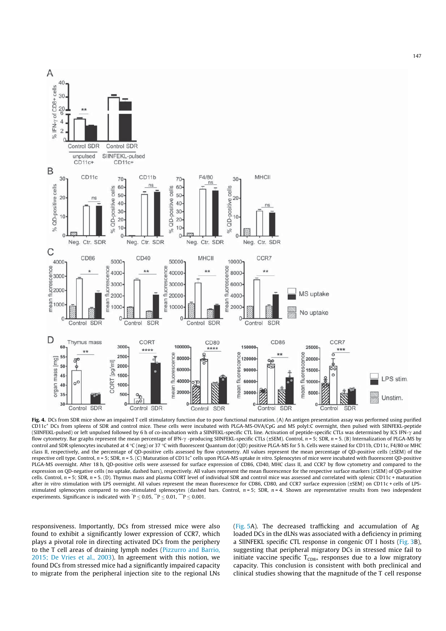

Fig. 4. DCs from SDR mice show an impaired T cell stimulatory function due to poor functional maturation. (A) An antigen presentation assay was performed using purified CD11c<sup>+</sup> DCs from spleens of SDR and control mice. These cells were incubated with PLGA-MS-OVA/CpG and MS polyI:C overnight, then pulsed with SIINFEKL-peptide (SIINFEKL-pulsed) or left unpulsed followed by 6 h of co-incubation with a SIINFEKL-specific CTL line. Activation of peptide-specific CTLs was determined by ICS IFN- $\gamma$  and flow cytometry. Bar graphs represent the mean percentage of IFN- $\gamma$ -producing SIINFEKL-specific CTLs (±SEM). Control, n = 5; SDR, n = 5. (B) Internalization of PLGA-MS by control and SDR splenocytes incubated at 4 °C (neg) or 37 °C with fluorescent Quantum dot (QD) positive PLGA-MS for 5 h. Cells were stained for CD11b, CD11c, F4/80 or MHC class II, respectively, and the percentage of QD-positive cells assessed by flow cytometry. All values represent the mean percentage of QD-positive cells (±SEM) of the respective cell type. Control, n = 5; SDR, n = 5. (C) Maturation of CD11c<sup>+</sup> cells upon PLGA-MS uptake in vitro. Splenocytes of mice were incubated with fluorescent QD-positive PLGA-MS overnight. After 18 h, QD-positive cells were assessed for surface expression of CD86, CD40, MHC class II, and CCR7 by flow cytometry and compared to the expression on QD-negative cells (no uptake, dashed bars), respectively. All values represent the mean fluorescence for the respective surface markers (±SEM) of QD-positive cells. Control,  $n = 5$ ; SDR,  $n = 5$ . (D). Thymus mass and plasma CORT level of individual SDR and control mice was assessed and correlated with splenic CD11c + maturation after in vitro stimulation with LPS overnight. All values represent the mean fluorescence for CD86, CD80, and CCR7 surface expression (±SEM) on CD11c + cells of LPSstimulated splenocytes compared to non-stimulated splenocytes (dashed bars. Control,  $n = 5$ ; SDR,  $n = 4$ . Shown are representative results from two independent experiments. Significance is indicated with  $\mathbf{P} \leq 0.05$ ,  $\mathbf{P} \leq 0.01$ ,  $\mathbf{P} \leq 0.001$ .

responsiveness. Importantly, DCs from stressed mice were also found to exhibit a significantly lower expression of CCR7, which plays a pivotal role in directing activated DCs from the periphery to the T cell areas of draining lymph nodes (Pizzurro and Barrio, 2015; De Vries et al., 2003). In agreement with this notion, we found DCs from stressed mice had a significantly impaired capacity to migrate from the peripheral injection site to the regional LNs

(Fig. 5A). The decreased trafficking and accumulation of Ag loaded DCs in the dLNs was associated with a deficiency in priming a SIINFEKL specific CTL response in congenic OT I hosts (Fig. 3B), suggesting that peripheral migratory DCs in stressed mice fail to initiate vaccine specific  $T_{CD8+}$  responses due to a low migratory capacity. This conclusion is consistent with both preclinical and clinical studies showing that the magnitude of the T cell response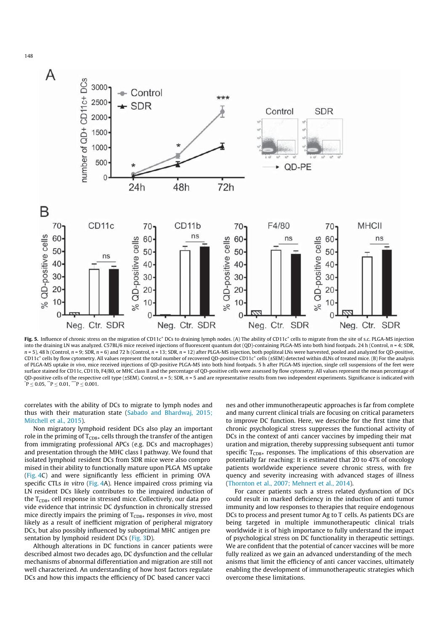

Fig. 5. Influence of chronic stress on the migration of CD11c<sup>+</sup> DCs to draining lymph nodes. (A) The ability of CD11c<sup>+</sup> cells to migrate from the site of s.c. PLGA-MS injection into the draining LN was analyzed. C57BL/6 mice received injections of fluorescent quantum dot (QD)-containing PLGA-MS into both hind footpads. 24 h (Control,  $n = 4$ ; SDR,  $n = 5$ ), 48 h (Control,  $n = 9$ ; SDR,  $n = 6$ ) and 72 h (Control,  $n = 13$ ; SDR,  $n = 12$ ) after PLGA-MS injection, both popliteal LNs were harvested, pooled and analyzed for QD-positive,  $CD11c^+$  cells by flow cytometry. All values represent the total number of recovered OD-positive CD11c<sup>+</sup> cells (±SEM) detected within dLNs of treated mice. (B) For the analysis of PLGA-MS uptake in vivo, mice received injections of QD-positive PLGA-MS into both hind footpads. 5 h after PLGA-MS injection, single cell suspensions of the feet were surface stained for CD11c, CD11b, F4/80, or MHC class II and the percentage of QD-positive cells were assessed by flow cytometry. All values represent the mean percentage of QD-positive cells of the respective cell type (±SEM). Control, n = 5; SDR, n = 5 and are representative results from two independent experiments. Significance is indicated with  $P \leq 0.05$ ,  $P \leq 0.01$ ,  $P \leq 0.001$ .

correlates with the ability of DCs to migrate to lymph nodes and thus with their maturation state (Sabado and Bhardwaj, 2015; Mitchell et al., 2015).

Non migratory lymphoid resident DCs also play an important role in the priming of  $T_{CD8+}$  cells through the transfer of the antigen from immigrating professional APCs (e.g. DCs and macrophages) and presentation through the MHC class I pathway. We found that isolated lymphoid resident DCs from SDR mice were also compro mised in their ability to functionally mature upon PLGA MS uptake (Fig. 4C) and were significantly less efficient in priming OVA specific CTLs in vitro (Fig. 4A). Hence impaired cross priming via LN resident DCs likely contributes to the impaired induction of the  $T_{CD8+}$  cell response in stressed mice. Collectively, our data pro vide evidence that intrinsic DC dysfunction in chronically stressed mice directly impairs the priming of  $T_{CD8+}$  responses in vivo, most likely as a result of inefficient migration of peripheral migratory DCs, but also possibly influenced by suboptimal MHC antigen pre sentation by lymphoid resident DCs (Fig. 3D).

Although alterations in DC functions in cancer patients were described almost two decades ago, DC dysfunction and the cellular mechanisms of abnormal differentiation and migration are still not well characterized. An understanding of how host factors regulate DCs and how this impacts the efficiency of DC based cancer vacci

nes and other immunotherapeutic approaches is far from complete and many current clinical trials are focusing on critical parameters to improve DC function. Here, we describe for the first time that chronic psychological stress suppresses the functional activity of DCs in the context of anti cancer vaccines by impeding their mat uration and migration, thereby suppressing subsequent anti tumor specific  $T_{CDS+}$  responses. The implications of this observation are potentially far reaching: It is estimated that 20 to 47% of oncology patients worldwide experience severe chronic stress, with fre quency and severity increasing with advanced stages of illness (Thornton et al., 2007; Mehnert et al., 2014).

For cancer patients such a stress related dysfunction of DCs could result in marked deficiency in the induction of anti tumor immunity and low responses to therapies that require endogenous DCs to process and present tumor Ag to T cells. As patients DCs are being targeted in multiple immunotherapeutic clinical trials worldwide it is of high importance to fully understand the impact of psychological stress on DC functionality in therapeutic settings. We are confident that the potential of cancer vaccines will be more fully realized as we gain an advanced understanding of the mech anisms that limit the efficiency of anti cancer vaccines, ultimately enabling the development of immunotherapeutic strategies which overcome these limitations.